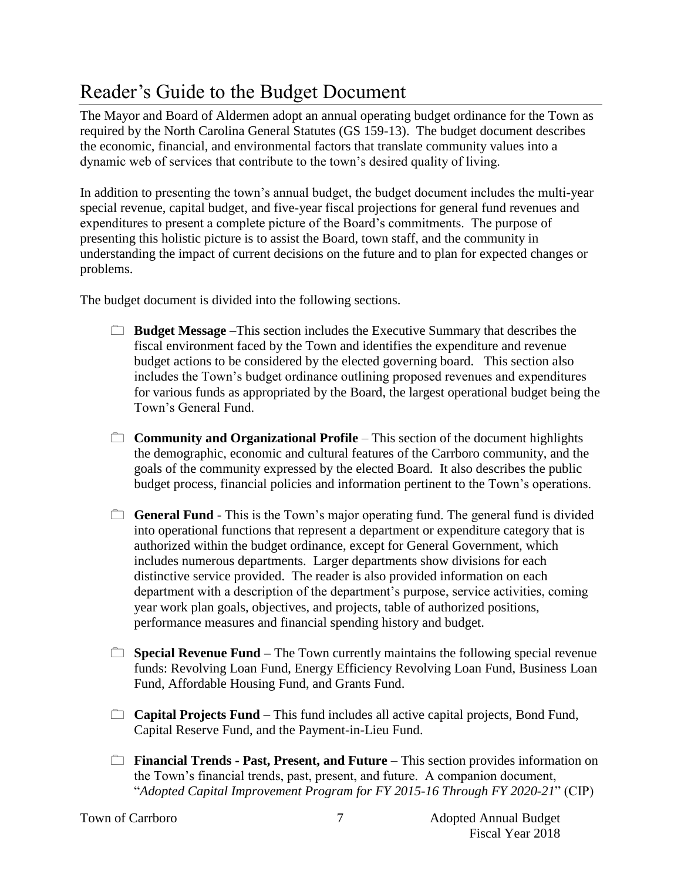## Reader's Guide to the Budget Document

The Mayor and Board of Aldermen adopt an annual operating budget ordinance for the Town as required by the North Carolina General Statutes (GS 159-13). The budget document describes the economic, financial, and environmental factors that translate community values into a dynamic web of services that contribute to the town's desired quality of living.

In addition to presenting the town's annual budget, the budget document includes the multi-year special revenue, capital budget, and five-year fiscal projections for general fund revenues and expenditures to present a complete picture of the Board's commitments. The purpose of presenting this holistic picture is to assist the Board, town staff, and the community in understanding the impact of current decisions on the future and to plan for expected changes or problems.

The budget document is divided into the following sections.

- **Budget Message** –This section includes the Executive Summary that describes the fiscal environment faced by the Town and identifies the expenditure and revenue budget actions to be considered by the elected governing board. This section also includes the Town's budget ordinance outlining proposed revenues and expenditures for various funds as appropriated by the Board, the largest operational budget being the Town's General Fund.
- **Community and Organizational Profile** This section of the document highlights the demographic, economic and cultural features of the Carrboro community, and the goals of the community expressed by the elected Board. It also describes the public budget process, financial policies and information pertinent to the Town's operations.
- **General Fund** This is the Town's major operating fund. The general fund is divided into operational functions that represent a department or expenditure category that is authorized within the budget ordinance, except for General Government, which includes numerous departments. Larger departments show divisions for each distinctive service provided. The reader is also provided information on each department with a description of the department's purpose, service activities, coming year work plan goals, objectives, and projects, table of authorized positions, performance measures and financial spending history and budget.
- **Special Revenue Fund** The Town currently maintains the following special revenue funds: Revolving Loan Fund, Energy Efficiency Revolving Loan Fund, Business Loan Fund, Affordable Housing Fund, and Grants Fund.
- **Capital Projects Fund**  This fund includes all active capital projects, Bond Fund, Capital Reserve Fund, and the Payment-in-Lieu Fund.
- **Financial Trends Past, Present, and Future** This section provides information on the Town's financial trends, past, present, and future. A companion document, "*Adopted Capital Improvement Program for FY 2015-16 Through FY 2020-21*" (CIP)